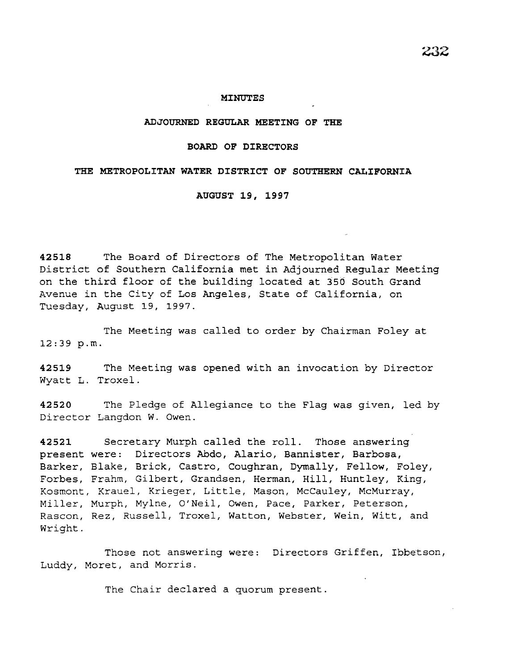## **ADJOURNED REGULAR MEETING OF THE**

### **BOARD OF DIRECTORS**

#### **THE METROPOLITAN WATER DISTRICT OF SOUTHERN CALIFORNIA**

## **AUGUST 19, 1997**

**42518** The Board of Directors of The Metropolitan Water *District* of Southern California met *in* Adjourned Regular Meeting on the third floor of the building located at 350 South Grand Avenue in the City of Los Angeles, State of California, on Tuesday, August 19, 1997.

The Meeting was called to order by Chairman Foley at 12:39 p.m.

**42519** The Meeting was opened with an invocation by Director Wyatt L. Troxel.

**42520** The Pledge of Allegiance to the Flag was given, led by Director Langdon W. Owen.

**42521** Secretary Murph called the roll. Those answering present were: Directors Abdo, Alario, Bannister, Barbosa, Barker, Blake, Brick, Castro, Coughran, Dymally, Fellow, Foley, Forbes, Frahm, Gilbert, Grandsen, Herman, Hill, Huntley, King, Kosmont, Krauel, Krieger, Little, Mason, McCauley, McMurray, Miller, Murph, Mylne, O'Neil, Owen, Pace, Parker, Peterson, Rascon, Rez, Russell, Troxel, Watton, Webster, Wein, Witt, and Wright.

Those not answering were: Directors Griffen, Ibbetson, Luddy, Moret, and Morris.

The Chair declared a quorum present.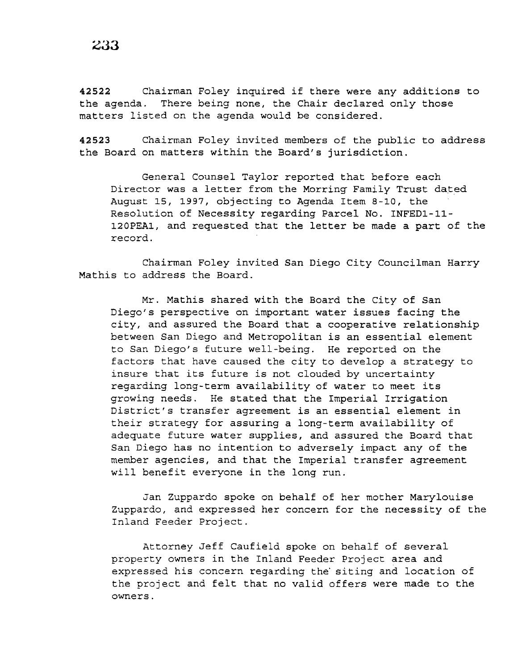**<sup>42522</sup>**Chairman Foley inquired if there were any additions to the agenda. There being none, the Chair declared only those matters listed on the agenda would be considered.

**42523** Chairman Foley invited members of the public to address the Board on matters within the Board's jurisdiction.

General Counsel Taylor reported that before each Director was a letter from the Morring Family Trust dated August 15, 1997, objecting to Agenda Item 8-10, the Resolution of Necessity regarding Parcel No. INFED1-11- 120PEA1, and requested that the letter be made a part of the record.

Chairman Foley invited San *Diego* City Councilman Harry Mathis to address the Board.

Mr. Mathis shared with the Board the City of San Diego's perspective on important water issues facing the city, and assured the Board that a cooperative relationship between San Diego and Metropolitan is an essential element to San Diego's future well-being. He reported on the factors that have caused the city to develop a strategy to insure that its future *is* not clouded by uncertainty regarding long-term availability of water to meet its growing needs. He stated that the Imperial Irrigation District's transfer agreement *is* an essential element in their strategy for assuring a long-term availability of adequate future water supplies, and assured the Board that San Diego has no intention to adversely impact any of the member agencies, and that the Imperial transfer agreement will benefit everyone in the long run.

Jan Zuppardo spoke on behalf of her mother Marylouise Zuppardo, and expressed her concern for the necessity of the Inland Feeder Project.

Attorney Jeff Caufield spoke on behalf of several property owners in the Inland Feeder Project area and expressed his concern regarding the' siting and location of the project and felt that no valid offers were made to the owners.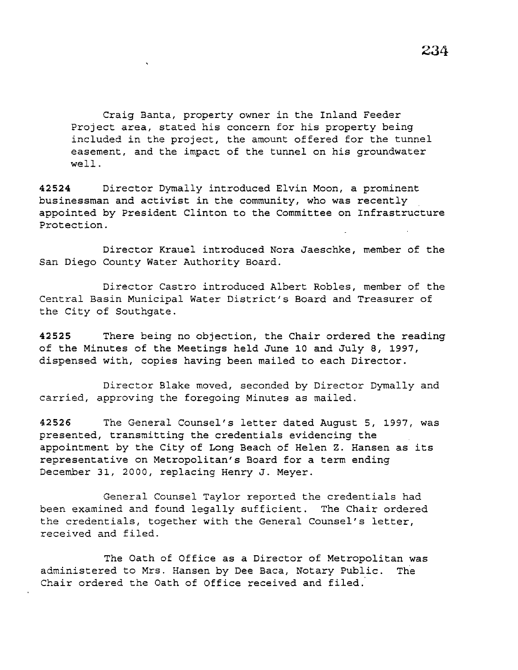Craig Banta, property owner in the Inland Feeder Project area, stated his concern for his property being included in the project, the amount offered for the tunnel easement, and the impact of the tunnel on his groundwater well.

**42524** Director Dymally introduced Elvin Moon, a prominent businessman and activist in the community, who was recently appointed by President Clinton to the Committee on Infrastructure Protection.

Director Krauel introduced Nora Jaeschke, member of the San Diego County Water Authority Board.

Director Castro introduced Albert Robles, member of the Central Basin Municipal Water District's Board and Treasurer of the City of Southgate.

**42525** There being no objection, the Chair ordered the reading of the Minutes of the Meetings held June 10 and July 8, 1997, dispensed with, copies having been mailed to each Director.

Director Blake moved, seconded by Director Dymally and carried, approving the foregoing Minutes as mailed.

42526 The General Counsel's letter dated August 5, 1997, was presented, transmitting the credentials evidencing the appointment by the City of Long Beach of Helen Z. Hansen as its representative on Metropolitan's Board for a term ending December 31, 2000, replacing Henry J. Meyer.

General Counsel Taylor reported the credentials had been examined and found legally sufficient. The Chair ordered the credentials, together with the General Counsel's letter, received and filed.

The Oath of Office as a Director of Metropolitan was administered to Mrs. Hansen by Dee Baca, Notary Public. The Chair ordered the Oath of Office received and filed.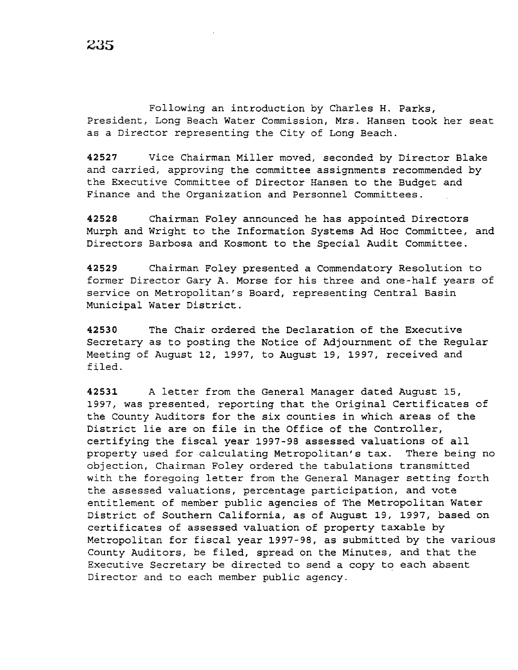Following an introduction by Charles H. Parks, President, Long Beach Water Commission, Mrs. Hansen took her seat as a Director representing the City of Long Beach.

**42527** Vice Chairman Miller moved, seconded by Director Blake and carried, approving the committee assignments recommended by the Executive Committee of Director Hansen to the Budget and Finance and the Organization and Personnel Committees.

**42528** Chairman Foley announced he has appointed Directors Murph and Wright to the Information Systems Ad Hoc Committee, and Directors Barbosa and Kosmont to the Special Audit Committee.

**42529** Chairman Foley presented a Commendatory Resolution to former Director Gary A. Morse for his three and one-half years of service on Metropolitan's Board, representing Central Basin Municipal Water District.

**42530** The Chair ordered the Declaration of the Executive Secretary as to posting the Notice of Adjournment of the Regular Meeting of August 12, 1997, to August 19, 1997, received and filed.

**42531** A letter from the General Manager dated August 15, 1997, was presented, reporting that the Original Certificates of the County Auditors for the six counties in which areas of the District lie are on file in the Office of the Controller, certifying the fiscal year 1997-98 assessed valuations of all property used for calculating Metropolitan's tax. There being no objection, Chairman Foley ordered the tabulations transmitted with the foregoing letter from the General Manager setting forth the assessed valuations, percentage participation, and vote entitlement of member public agencies of The Metropolitan Water District of Southern California, as of August 19, 1997, based on certificates of assessed valuation of property taxable by Metropolitan for fiscal year 1997-98, as submitted by the various County Auditors, be filed, spread on the Minutes, and that the Executive Secretary be directed to send a copy to each absent Director and to each member public agency.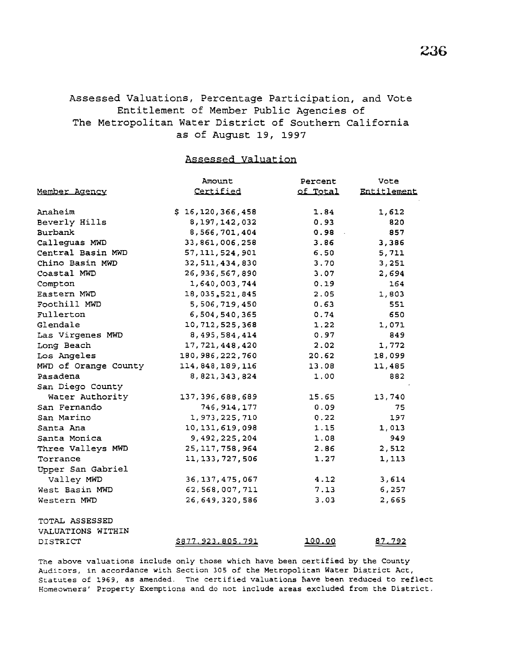# Assessed Valuations, Percentage Participation, and Vote Entitlement of Member Public Agencies of The Metropolitan Water District of Southern California as of August 19, 1997

Assessed Valuation

| Member Agency        | Amount<br>Certified      | Percent<br>of Total | Vote<br>Entitlement |
|----------------------|--------------------------|---------------------|---------------------|
|                      |                          |                     |                     |
| Beverly Hills        | 8, 197, 142, 032         | 0.93                | 820                 |
| Burbank              | 8,566,701,404            | 0.98                | 857                 |
| Calleguas MWD        | 33,861,006,258           | 3.86                | 3,386               |
| Central Basin MWD    | 57, 111, 524, 901        | 6.50                | 5,711               |
| Chino Basin MWD      | 32, 511, 434, 830        | 3.70                | 3,251               |
| Coastal MWD          | 26, 936, 567, 890        | 3.07                | 2,694               |
| Compton              | 1,640,003,744            | 0.19                | 164                 |
| Eastern MWD          | 18,035,521,845           | 2.05                | 1,803               |
| Foothill MWD         | 5,506,719,450            | 0.63                | 551                 |
| Fullerton            | 6,504,540,365            | 0.74                | 650                 |
| Glendale             | 10, 712, 525, 368        | 1.22                | 1,071               |
| Las Virgenes MWD     | 8, 495, 584, 414         | 0.97                | 849                 |
| Long Beach           | 17, 721, 448, 420        | 2.02                | 1,772               |
| Los Angeles          | 180, 986, 222, 760       | 20.62               | 18,099              |
| MWD of Orange County | 114,848,189,116          | 13.08               | 11,485              |
| Pasadena             | 8, 821, 343, 824         | 1.00                | 882                 |
| San Diego County     |                          |                     |                     |
| Water Authority      | 137, 396, 688, 689       | 15.65               | 13,740              |
| San Fernando         | 746, 914, 177            | 0.09                | 75                  |
| San Marino           | 1,973,225,710            | 0.22                | 197                 |
| Santa Ana            | 10, 131, 619, 098        | 1.15                | 1,013               |
| Santa Monica         | 9, 492, 225, 204         | 1.08                | 949                 |
| Three Valleys MWD    | 25, 117, 758, 964        | 2.86                | 2,512               |
| Torrance             | 11, 133, 727, 506        | 1.27                | 1,113               |
| Upper San Gabriel    |                          |                     |                     |
| Valley MWD           | 36, 137, 475, 067        | 4.12                | 3,614               |
| West Basin MWD       | 62, 568, 007, 711        | 7.13                | 6,257               |
| Western MWD          | 26,649,320,586           | 3.03                | 2,665               |
| TOTAL ASSESSED       |                          |                     |                     |
| VALUATIONS WITHIN    |                          |                     |                     |
| DISTRICT             | <u>\$877.923.805.791</u> | <u> 100.00</u>      | 87,792              |

The above valuations include only those which have been certified by the County Auditors, in accordance with Section 305 of the Metropolitan Water District Act, Statutes of 1969, as amended. The certified valuations nave been reduced to reflect Homeowners' Property Exemptions and do not include areas excluded from the District.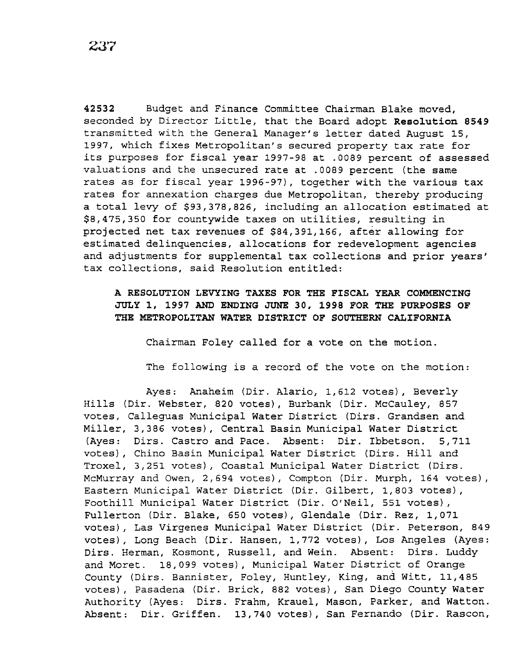**42532** Budget and Finance Committee Chairman Blake moved, seconded by Director Little, that the Board adopt **Resolution 8549**  transmitted with the General Manager's letter dated August 15, 1997, which fixes Metropolitan's secured property tax rate for its purposes for fiscal year 1997-98 at .0089 percent of assessed valuations and the unsecured rate at .0089 percent (the same rates as for fiscal year 1996-97), together with the various tax rates for annexation charges due Metropolitan, thereby producing a total levy of \$93,378,826, including an allocation estimated at \$8,475,350 for countywide taxes on utilities, resulting in projected net tax revenues of \$84,391,166, after allowing for estimated delinquencies, allocations for redevelopment agencies and adjustments for supplemental tax collections and prior years' tax collections, said Resolution entitled:

**A RESOLUTION LEVYING TAXES FOR THE FISCAL YEAR COMMENCING JULY 1, 1997 AND ENDING JUNE 30, 1998 FOR THE PURPOSES OF THE METROPOLITAN WATER DISTRICT OF SOUTHERN CALIFORNIA** 

Chairman Foley called for a vote on the motion.

The following *is* a record of the vote on the motion:

Ayes: Anaheim (Dir. Alario, 1,612 votes), Beverly Hills (Dir. Webster, 820 votes), Burbank (Dir. McCauley, 857 votes, Calleguas Municipal Water District (Dirs. Grandsen and Miller, 3,386 votes), Central Basin Municipal Water District (Ayes: Dirs. Castro and Pace. Absent: *Dir.* Ibbetson. 5,711 votes), Chino Basin Municipal Water District (Dirs. Hill and Troxel, 3,251 votes), Coastal Municipal Water District (Dirs. McMurray and Owen, 2,694 votes), Compton (Dir. Murph, 164 votes), Eastern Municipal Water District (Dir. Gilbert, 1,803 votes), Foothill Municipal Water District (Dir. O'Neil, 551 votes), Fullerton (Dir. Blake, 650 votes), Glendale (Dir. Rez, 1,071 votes), Las Virgenes Municipal Water District (Dir. Peterson, 849 votes), Long Beach (Dir. Hansen, 1,772 votes), Los Angeles (Ayes: Dirs. Herman, Kosmont, Russell, and Wein. Absent: Dirs. Luddy and Moret. 18,099 votes), Municipal Water District of Orange County (Dirs. Bannister, Foley, Huntley, King, and Witt, 11,485 votes), Pasadena (Dir. Brick, 882 votes), San Diego County Water Authority (Ayes: Dirs. Frahm, Krauel, Mason, Parker, and Watton. Absent: Dir. Griffen. 13,740 votes), San Fernando (Dir. Rascon,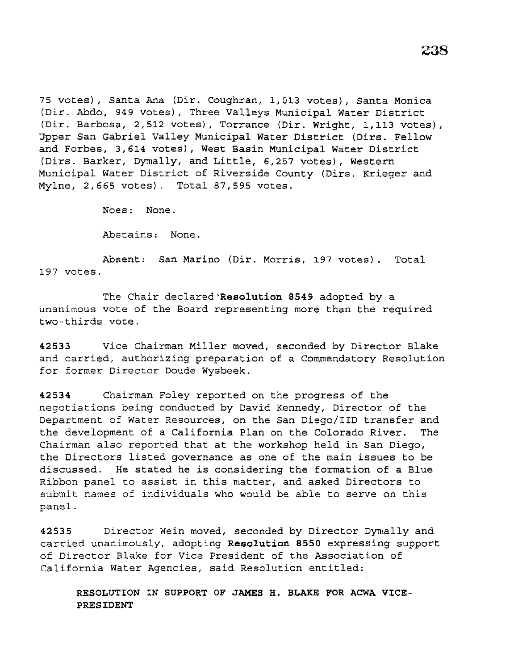75 votes), Santa Ana (Dir. Coughran, 1,013 votes), Santa Monica (Dir. Abdo, 949 votes), Three Valleys Municipal Water District (Dir. Barbosa, 2,512 votes), Torrance (Dir. Wright, 1,113 votes), Upper San Gabriel Valley Municipal Water District (Dirs. Fellow and Forbes, 3,614 votes), West Basin Municipal Water District (Dirs. Barker, Dymally, and Little, 6,257 votes), Western Municipal Water District of Riverside County (Dirs. Krieger and Mylne, 2,665 votes). Total 87,595 votes.

Noes: None.

Abstains: None.

Absent: San Marino (Dir. Morris, 197 votes). Total 197 votes.

The Chair declared Resolution 8549 adopted by a unanimous vote of the Board representing more than the required two-thirds vote.

42533 Vice Chairman Miller moved, seconded by Director Blake and carried, authorizing preparation of a Commendatory Resolution for former Director Doude Wysbeek.

42534 Chairman Foley reported on the progress of the negotiations being conducted by David Kennedy, Director of the Department of Water Resources, on the San Diego/IID transfer and the development of a California Plan on the Colorado River. The Chairman also reported that at the workshop held in San Diego, the Directors listed governance as one of the main issues to be discussed. He stated he is considering the formation of a Blue Ribbon panel to assist in this matter, and asked Directors to submit names of individuals who would be able to serve on this panel.

42535 Director Wein moved, seconded by Director Dymally and carried unanimously, adopting Resolution 8550 expressing support of Director Blake for Vice President of the Association of California Water Agencies, said Resolution entitled:

RESOLUTION IN SUPPORT OF JAMES H. BLAKE FOR ACWA VICE-PRESIDENT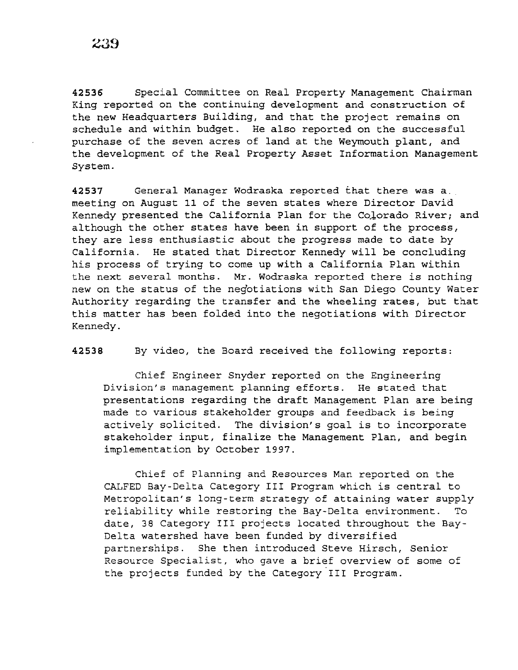**42536** Special Committee on Real Property Management Chairman King reported on the continuing development and construction of the new Headquarters Building, and that the project remains on schedule and within budget. He also reported on the successful purchase of the seven acres of land at the Weymouth plant, and the development of the Real Property Asset Information Management System.

**42537** General Manager Wodraska reported that there was a meeting on August 11 of the seven states where Director David Kennedy presented the California Plan for the Colorado River; and although the other states have been in support of the process, they are less enthusiastic about the progress made to date by California. He stated that Director Kennedy will be concluding his process of trying to come up with a California Plan within the next several months. Mr. Wodraska reported there *is* nothing new on the status of the negotiations with San Diego County Water Authority regarding the transfer and the wheeling rates, but that this matter has been folded into the negotiations with Director Kennedy.

**42538** By video, the Board received the following reports:

Chief Engineer Snyder reported on the Engineering Division's management planning efforts. He stated that presentations regarding the draft Management Plan are being made to various stakeholder groups and feedback is being actively solicited. The division's goal is to incorporate stakeholder input, finalize the Management Plan, and begin implementation by October 1997.

Chief of Planning and Resources Man reported on the CALFED Bay-Delta Category III Program which is central to Metropolitan's long-term strategy of attaining water supply reliability while restoring the Bay-Delta environment. To date, 38 Category III projects located throughout the Bay-Delta watershed have been funded by diversified partnerships. She then introduced Steve Hirsch, Senior Resource Specialist, who gave a brief overview of some of the projects funded by the Category III Program.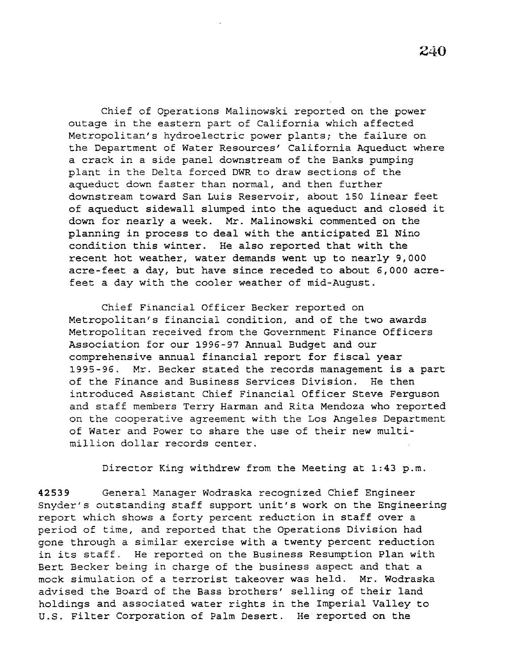Chief of Operations Malinowski reported on the power outage in the eastern part of California which affected Metropolitan's hydroelectric power plants; the failure on the Department of Water Resources' California Aqueduct where a crack in a side panel downstream of the Banks pumping plant in the Delta forced DWR to draw sections of the aqueduct down faster than normal, and then further downstream toward San Luis Reservoir, about 150 linear feet of aqueduct sidewall slumped into the aqueduct and closed *it*  down for nearly a week. Mr. Malinowski commented on the planning in process to deal with the anticipated El Nino condition this winter. He also reported that with the recent hot weather, water demands went up to nearly 9,000 acre-feet a day, but have since receded to about 6,000 acrefeet a day with the cooler weather of mid-August.

Chief Financial Officer Becker reported on Metropolitan's financial condition, and of the two awards Metropolitan received from the Government Finance Officers Association for our 1996-97 Annual Budget and our comprehensive annual financial report for fiscal year 1995-96. Mr. Becker stated the records management is a part of the Finance and Business Services Division. He then introduced Assistant Chief Financial Officer Steve Ferguson and staff members Terry Harman and Rita Mendoza who reported on the cooperative agreement with the Los Angeles Department of Water and Power to share the use of their new multimillion dollar records center.

Director King withdrew from the Meeting at 1:43 p.m.

42539 General Manager Wodraska recognized Chief Engineer Snyder's outstanding staff support unit's work on the Engineering report which shows a forty percent reduction in staff over a period of time, and reported that the Operations Division had gone through a similar exercise with a twenty percent reduction in its staff. He reported on the Business Resumption Plan with Bert Becker being in charge of the business aspect and that a mock simulation of a terrorist takeover was held. Mr. Wodraska advised the Board of the Bass brothers' selling of their land holdings and associated water rights in the Imperial Valley to U.S. Filter Corporation of Palm Desert. He reported on the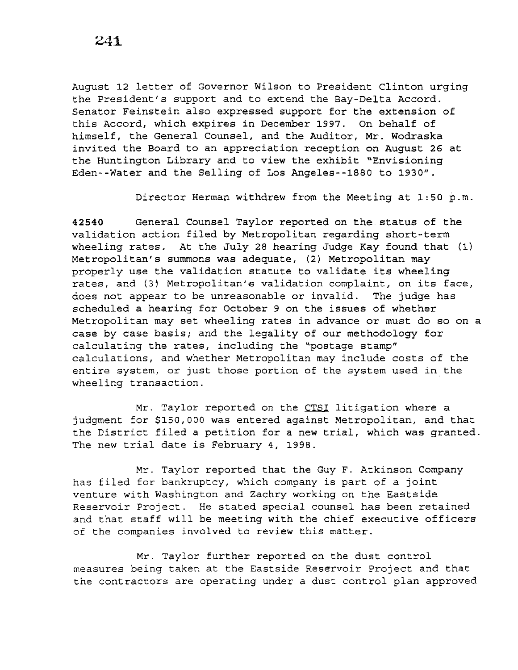August 12 letter of Governor Wilson to President Clinton urging the President's support and to extend the Bay-Delta Accord. Senator Feinstein also expressed support for the extension of this Accord, which expires *in* December 1997. On behalf of himself, the General Counsel, and the Auditor, Mr. Wodraska invited the Board to an appreciation reception on August 26 at the Huntington Library and to view the exhibit "Envisioning Eden--Water and the Selling of Los Angeles--1880 to 1930".

Director Herman withdrew from the Meeting at 1:50 p.m.

**42540** General Counsel Taylor reported on the.status of the validation action filed by Metropolitan regarding short-term wheeling rates. At the July 28 hearing Judge Kay found that (1) Metropolitan's summons was adequate, (2) Metropolitan may properly use the validation statute to validate its wheeling rates, and (3) Metropolitan's validation complaint, on its face, does not appear to be unreasonable or invalid. The judge has scheduled a hearing for October 9 on the issues of whether Metropolitan may set wheeling rates in advance or must do so on a case by case basis; and the legality of our methodology for calculating the rates, including the "postage stamp" calculations, and whether Metropolitan may include costs of the entire system, or just those portion of the system used *in* the wheeling transaction.

Mr. Taylor reported on the CTSI litigation where a judgment for \$150,000 was entered against Metropolitan, and that the District filed a petition for a new trial, which was granted. The new trial date is February 4, 1998.

Mr. Taylor reported that the Guy F. Atkinson Company has filed for bankruptcy, which company is part of a joint venture with Washington and Zachry working on the Eastside Reservoir Project. He stated special counsel has been retained and that staff will be meeting with the chief executive officers of the companies involved to review this matter.

Mr. Taylor further reported on the dust control measures being taken at the Eastside Reservoir Project and that the contractors are operating under a dust control plan approved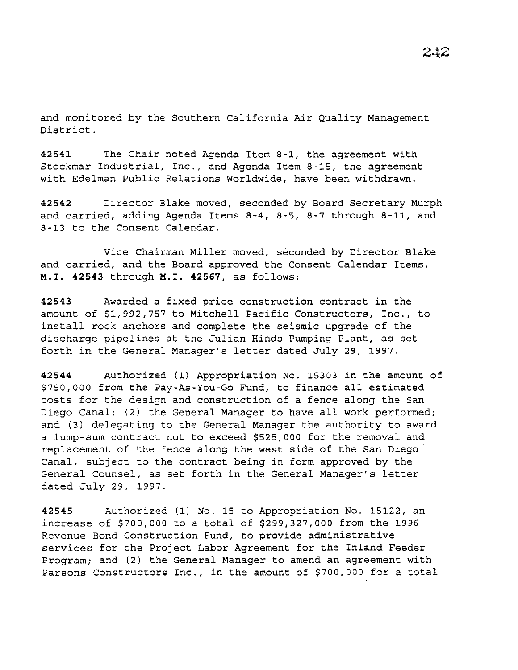and monitored by the Southern California Air Quality Management District.

**42541** The Chair noted Agenda Item 8-1, the agreement with Stockmar Industrial, Inc., and Agenda Item 8-15, the agreement with Edelman Public Relations Worldwide, have been withdrawn.

**42542** Director Blake moved, seconded by Board Secretary Murph and carried, adding Agenda Items 8-4, 8-5, 8-7 through 8-11, and 8-13 to the Consent Calendar.

Vice Chairman Miller moved, seconded by Director Blake and carried, and the Board approved the Consent Calendar Items, **M.I. 42543** through **M.I. 42567,** as follows:

**42543** Awarded a fixed price construction contract in the amount of \$1,992,757 to Mitchell Pacific Constructors, Inc., to install rock anchors and complete the seismic upgrade of the discharge pipelines at the Julian Hinds Pumping Plant, as set forth in the General Manager's letter dated July 29, 1997.

**42544** Authorized (1) Appropriation No. 15303 in the amount of \$750,000 from the Pay-As-You-Go Fund, to finance all estimated costs for the design and construction of a fence along the San Diego Canal; (2) the General Manager to have all work performed; and (3) delegating to the General Manager the authority to award a lump-sum contract not to exceed \$525,000 for the removal and replacement of the fence along the west side of the San Diego Canal, subject to the contract being in form approved by the General Counsel, as set forth in the General Manager's letter dated July 29, 1997.

**42545** Authorized (1) No. 15 to Appropriation No. 15122, an increase of \$700,000 to a total of \$299,327,000 from the 1996 Revenue Bond Construction Fund, to provide administrative services for the Project Labor Agreement for the Inland Feeder Program; and (2) the General Manager to amend an agreement with Parsons Constructors Inc., in the amount of \$700,000 for a total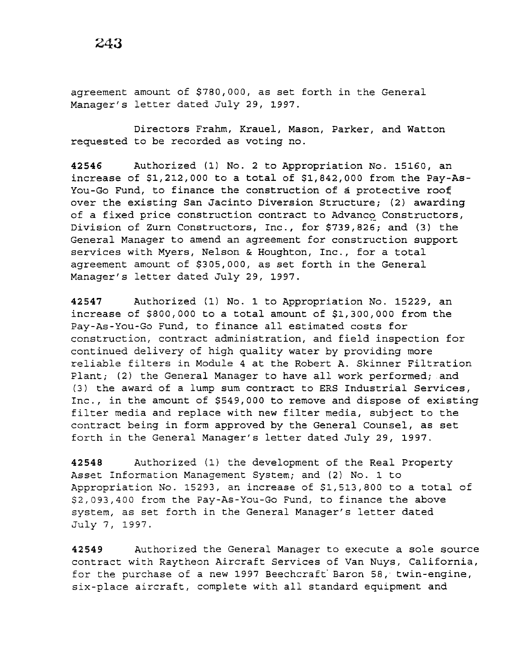agreement amount of \$780,000, as set forth in the General Manager's letter dated July 29, 1997.

Directors Frahm, Krauel, Mason, Parker, and Watton requested to be recorded as voting no.

**42546** Authorized (1) No. 2 to Appropriation No. 15160, an increase of \$1,212,000 to a total of \$1,842,000 from the Pay-As-You-Go Fund, to finance the construction of a protective roof over the existing San Jacinto Diversion Structure; (2) awarding of a fixed price construction contract to Advanco Constructors, Division of Zurn Constructors, Inc., for \$739,826; and (3) the General Manager to amend an agreement for construction support services with Myers, Nelson & Houghton, Inc., for a total agreement amount of \$305,000, as set forth in the General Manager's letter dated July 29, 1997.

**42547** Authorized (1) No. 1 to Appropriation No. 15229, an increase of \$800,000 to a total amount of \$1,300,000 from the Pay-As-You-Go Fund, to finance all estimated costs for construction, contract administration, and field inspection for continued delivery of high quality water by providing more reliable filters in Module 4 at the Robert A. Skinner Filtration Plant; (2) the General Manager to have all work performed; and (3) the award of a lump sum contract to ERS Industrial Services, Inc., in the amount of \$549,000 to remove and dispose of existing filter media and replace with new filter media, subject to the contract being in form approved by the General Counsel, as set forth in the General Manager's letter dated July 29, 1997.

**42548** Authorized (1) the development of the Real Property Asset Information Management System; and (2) No. 1 to Appropriation No. 15293, an increase of \$1,513,800 to a total of \$2,093,400 from the Pay-As-You-Go Fund, to finance the above system, as set forth in the General Manager's letter dated July 7, 1997.

**42549** Authorized the General Manager to execute a sole source contract with Raytheon Aircraft Services of Van Nuys, California, for the purchase of a new 1997 Beechcraft' Baron 58, twin-engine, six-place aircraft, complete with all standard equipment and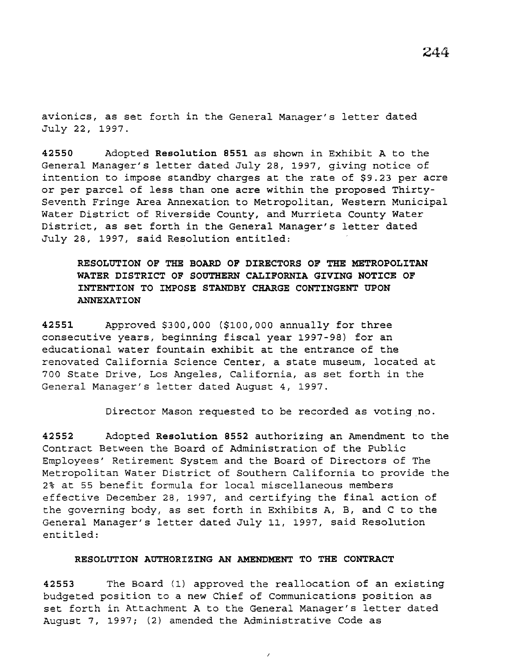avionics, as set forth in the General Manager's letter dated July 22, 1997.

**42550** Adopted **Resolution 8551** as shown in Exhibit A to the General Manager's letter dated July 28, 1997, giving notice of intention to impose standby charges at the rate of \$9.23 per acre or per parcel of less than one acre within the proposed Thirty-Seventh Fringe Area Annexation to Metropolitan, Western Municipal Water District of Riverside County, and Murrieta County Water District, as set forth in the General Manager's letter dated July 28, 1997, said Resolution entitled:

**RESOLUTION OF THE BOARD OF DIRECTORS OF THE METROPOLITAN WATER DISTRICT OF SOUTHERN CALIFORNIA GIVING NOTICE OF INTENTION TO IMPOSE STANDBY CHARGE CONTINGENT UPON ANNEXATION** 

**42551** Approved \$300,000 (\$100,000 annually for three consecutive years, beginning fiscal year 1997-98) for an educational water fountain exhibit at the entrance of the renovated California Science Center, a state museum, located at 700 State Drive, Los Angeles, California, as set forth in the General Manager's letter dated August 4, 1997.

Director Mason requested to be recorded as voting no.

**42552** Adopted **Resolution 8552** authorizing an Amendment to the Contract Between the Board of Administration of the Public Employees' Retirement System and the Board of Directors of The Metropolitan Water District of Southern California to provide the 2% at 55 benefit formula for local miscellaneous members effective December 28, 1997, and certifying the final action of the governing body, as set forth in Exhibits A, B, and C to the General Manager's letter dated July 11, 1997, said Resolution entitled:

## **RESOLUTION AUTHORIZING AN AMENDMENT TO THE CONTRACT**

**42553** The Board (1) approved the reallocation of an existing budgeted position to a new Chief of Communications position as set forth in Attachment A to the General Manager's letter dated August 7, 1997; (2) amended the Administrative Code as

 $\lambda$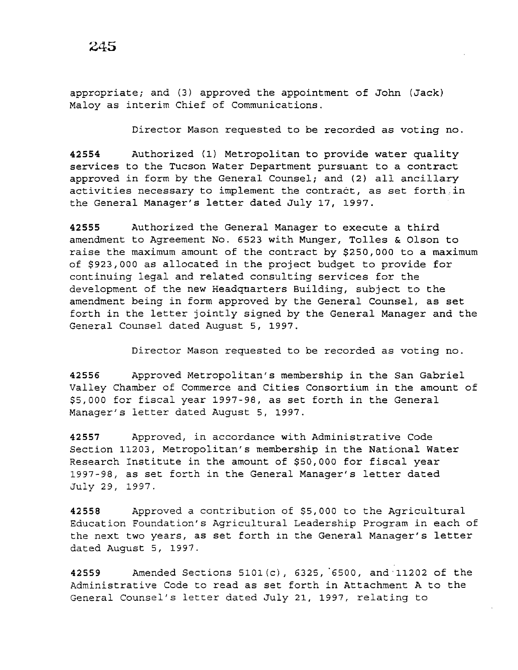appropriate; and (3) approved the appointment of John (Jack) Maloy as interim Chief of Communications.

Director Mason requested to be recorded as voting no.

42554 Authorized (1) Metropolitan to provide water quality services to the Tucson Water Department pursuant to a contract approved in form by the General Counsel; and (2) all ancillary activities necessary to implement the contract, as set forth in the General Manager's letter dated July 17, 1997.

42555 Authorized the General Manager to execute a third amendment to Agreement No. 6523 with Munger, Tolles & Olson to raise the maximum amount of the contract by \$250,000 to a maximum of \$923,000 as allocated in the project budget to provide for continuing legal and related consulting services for the development of the new Headquarters Building, subject to the amendment being in form approved by the General Counsel, as set forth in the letter jointly signed by the General Manager and the General Counsel dated August 5, 1997.

Director Mason requested to be recorded as voting no.

42556 Approved Metropolitan's membership in the San Gabriel Valley Chamber of Commerce and Cities Consortium in the amount of \$5,000 for fiscal year 1997-98, as set forth in the General Manager's letter dated August 5, 1997.

42557 Approved, in accordance with Administrative Code Section 11203, Metropolitan's membership in the National Water Research Institute in the amount of \$50,000 for fiscal year 1997-98, as set forth in the General Manager's letter dated July 29, 1997.

42558 Approved a contribution of \$5,000 to the Agricultural Education Foundation's Agricultural Leadership Program in each of the next two years, as set forth in the General Manager's letter dated August 5, 1997.

42559 Amended Sections 5101(c), 6325, 6500, and 11202 of the Administrative Code to read as set forth in Attachment A to the General Counsel's letter dated July 21, 1997, relating to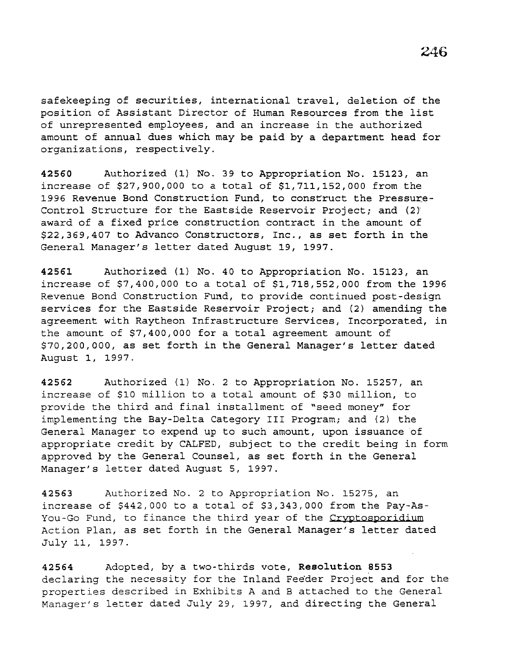safekeeping of securities, international travel, deletion of the position of Assistant Director of Human Resources from the list of unrepresented employees, and an increase in the authorized amount of annual dues which may be paid by a department head for organizations, respectively.

42560 Authorized (1) No. 39 to Appropriation No. 15123, an increase of \$27,900,000 to a total of \$1,711,152,000 from the 1996 Revenue Bond Construction Fund, to construct the Pressure-Control Structure for the Eastside Reservoir Project; and (2) award of a fixed price construction contract in the amount of \$22,369,407 to Advanco Constructors, Inc., as set forth in the General Manager's letter dated August 19, 1997.

42561 Authorized (1) No. 40 to Appropriation No. 15123, an increase of \$7,400,000 to a total of \$1,718,552,000 from the 1996 Revenue Bond Construction Fund, to provide continued post-design services for the Eastside Reservoir Project; and (2) amending the agreement with Raytheon Infrastructure Services, Incorporated, in the amount of \$7,400,000 for a total agreement amount of \$70,200,000, as set forth in the General Manager's letter dated August 1, 1997.

42562 Authorized (1) No. 2 to Appropriation No. 15257, an increase of \$10 million to a total amount of \$30 million, to provide the third and final installment of "seed money" for implementing the Bay-Delta Category III Program; and (2) the General Manager to expend up to such amount, upon issuance of appropriate credit by CALFED, subject to the credit being in form approved by the General Counsel, as set forth in the General Manager's letter dated August 5, 1997.

42563 Authorized No. 2 to Appropriation No. 15275, an increase of \$442,000 to a total of \$3,343,000 from the Pay-As-You-Go Fund, to finance the third year of the Cryptosporidium Action Plan, as set forth in the General Manager's letter dated July 11, 1997.

42564 Adopted, by a two-thirds vote, Resolution 8553 declaring the necessity for the Inland Fee'der Project and for the properties described in Exhibits A and B attached to the General Manager's letter dated July 29, 1997, and directing the General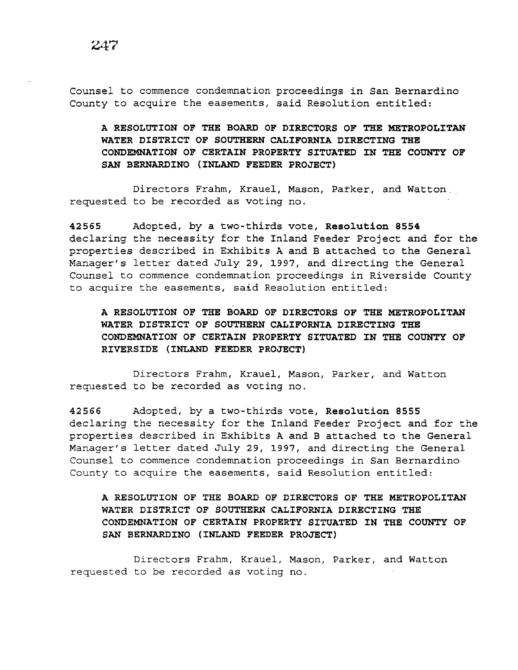Counsel to commence condemnation proceedings in San Bernardino County to acquire the easements, said Resolution entitled:

A RESOLUTION OF THE BOARD OF DIRECTORS OF THE METROPOLITAN WATER DISTRICT OF SOUTHERN CALIFORNIA DIRECTING THE CONDEMNATION OF CERTAIN PROPERTY SITUATED IN THE COUNTY OF SAN BERNARDINO (INLAND FEEDER PROJECT)

Directors Frahm, Krauel, Mason, Parker, and Watton. requested to be recorded as voting no.

42565 Adopted, by a two-thirds vote, Resolution 8554 declaring the necessity for the Inland Feeder Project and for the properties described in Exhibits A and B attached to the General Manager's letter dated July 29, 1997, and directing the General Counsel to commence condemnation proceedings in Riverside County to acquire the easements, said Resolution entitled:

A RESOLUTION OF THE BOARD OF DIRECTORS OF THE METROPOLITAN WATER DISTRICT OF SOUTHERN CALIFORNIA DIRECTING THE CONDEMNATION OF CERTAIN PROPERTY SITUATED IN THE COUNTY OF RIVERSIDE (INLAND FEEDER PROJECT)

Directors Frahm, Krauel, Mason, Parker, and Watton requested to be recorded as voting no.

42566 Adopted, by a two-thirds vote, Resolution 8555 declaring the necessity for the Inland Feeder Project and for the properties described in Exhibits A and B attached to the General Manager's letter dated July 29, 1997, and directing the General Counsel to commence condemnation proceedings in San Bernardino County to acquire the easements, said Resolution entitled:

A RESOLUTION OF THE BOARD OF DIRECTORS OF THE METROPOLITAN WATER DISTRICT OF SOUTHERN CALIFORNIA DIRECTING THE CONDEMNATION OF CERTAIN PROPERTY SITUATED IN THE COUNTY OF SAN BERNARDINO (INLAND FEEDER PROJECT)

Directors Frahm, Krauel, Mason, Parker, and Watton requested to be recorded as voting no.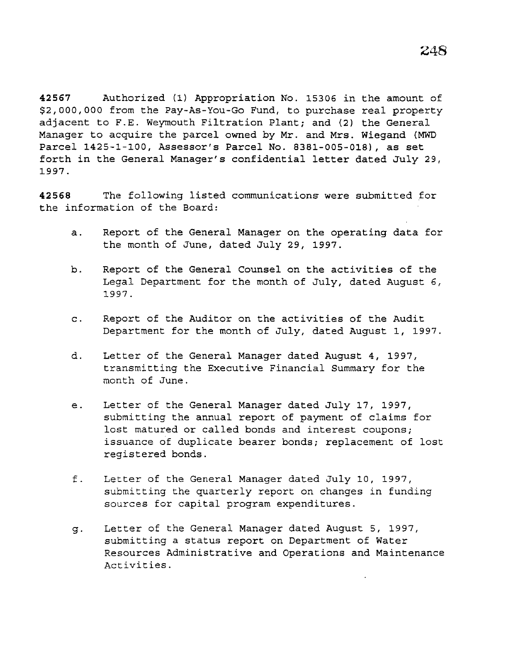**42567** Authorized (1) Appropriation No. 15306 in the amount of \$2,000,000 from the Pay-As-You-Go Fund, to purchase real property adjacent to F.E. Weymouth Filtration Plant; and (2) the General Manager to acquire the parcel owned by Mr. and Mrs. Wiegand (MWD Parcel 1425-1-100, Assessor's Parcel No. 8381-005-018), as set forth in the General Manager's confidential letter dated July 29, 1997.

**42568** The following listed communications were submitted for the information of the Board:

- a. Report of the General Manager on the operating data for the month of June, dated July 29, 1997.
- b. Report of the General Counsel on the activities of the Legal Department for the month of July, dated August 6, 1997.
- c. Report of the Auditor on the activities of the Audit Department for the month of July, dated August 1, 1997.
- d. Letter of the General Manager dated August 4, 1997, transmitting the Executive Financial Summary for the month of June.
- e. Letter of the General Manager dated July 17, 1997, submitting the annual report of payment of claims for lost matured or called bonds and interest coupons; issuance of duplicate bearer bonds; replacement of lost registered bonds.
- f. Letter of the General Manager dated July 10, 1997, submitting the quarterly report on changes in funding sources for capital program expenditures.
- g. Letter of the General Manager dated August 5, 1997, submitting a status report on Department of Water Resources Administrative and Operations and Maintenance Activities.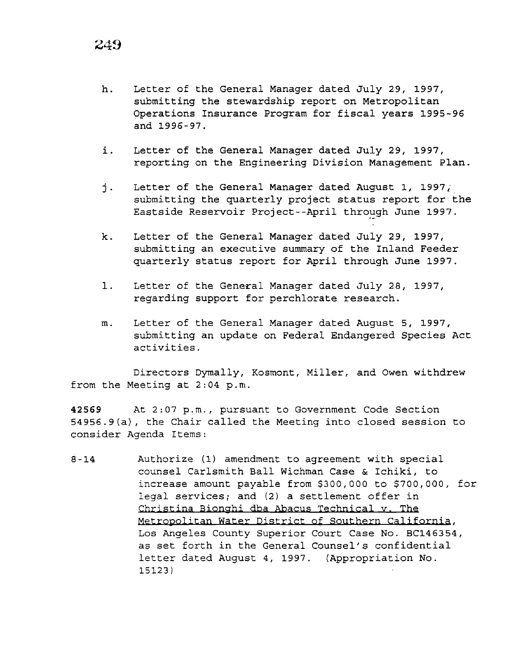- h. Letter of the General Manager dated July 29, 1997, submitting the stewardship report on Metropolitan Operations Insurance Program for fiscal years 1995-96 and 1996-97.
- i. Letter of the General Manager dated July 29, 1997, reporting on the Engineering Division Management Plan.
- j. Letter of the General Manager dated August 1, 1997, submitting the quarterly project status report for the Eastside Reservoir Project--April through June 1997.
- k. Letter of the General Manager dated July 29, 1997, submitting an executive summary of the Inland Feeder quarterly status report for April through June 1997.
- l. Letter of the General Manager dated July 28, 1997, regarding support for perchlorate research.
- m. Letter of the General Manager dated August 5, 1997, submitting an update on Federal Endangered Species Act activities.

Directors Dymally, Kosmont, Miller, and Owen withdrew from the Meeting at 2:04 p.m.

**42569** At 2:07p.m., pursuant to Government Code Section 54956.9(a), the Chair called the Meeting into closed session to consider Agenda Items:

8-14 Authorize (1) amendment to agreement with special counsel Carlsmith Ball Wichman Case & Ichiki, to increase amount payable from \$300,000 to \$700,000, for legal services; and (2) a settlement offer in Christina Bionghi dba Abacus Technical y. The Metropolitan Water District of Southern California, Los Angeles County Superior Court Case No. BC146354, as set forth *in* the General Counsel's confidential letter dated August 4, 1997. (Appropriation No. 15123)